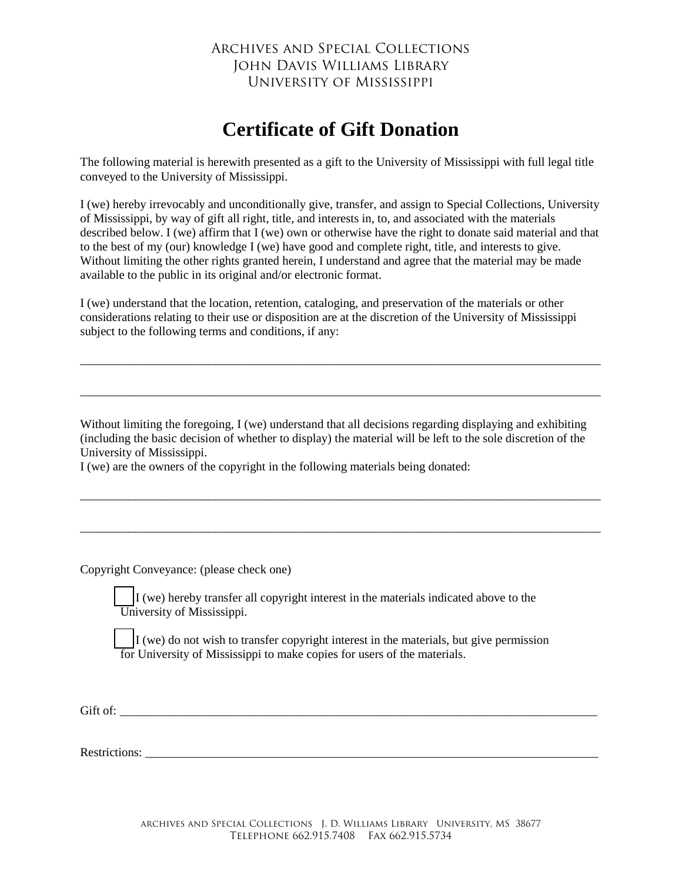## Archives and Special Collections John Davis Williams Library University of Mississippi

## **Certificate of Gift Donation**

The following material is herewith presented as a gift to the University of Mississippi with full legal title conveyed to the University of Mississippi.

I (we) hereby irrevocably and unconditionally give, transfer, and assign to Special Collections, University of Mississippi, by way of gift all right, title, and interests in, to, and associated with the materials described below. I (we) affirm that I (we) own or otherwise have the right to donate said material and that to the best of my (our) knowledge I (we) have good and complete right, title, and interests to give. Without limiting the other rights granted herein, I understand and agree that the material may be made available to the public in its original and/or electronic format.

I (we) understand that the location, retention, cataloging, and preservation of the materials or other considerations relating to their use or disposition are at the discretion of the University of Mississippi subject to the following terms and conditions, if any:

\_\_\_\_\_\_\_\_\_\_\_\_\_\_\_\_\_\_\_\_\_\_\_\_\_\_\_\_\_\_\_\_\_\_\_\_\_\_\_\_\_\_\_\_\_\_\_\_\_\_\_\_\_\_\_\_\_\_\_\_\_\_\_\_\_\_\_\_\_\_\_\_\_\_\_\_\_\_\_\_\_\_\_\_\_

\_\_\_\_\_\_\_\_\_\_\_\_\_\_\_\_\_\_\_\_\_\_\_\_\_\_\_\_\_\_\_\_\_\_\_\_\_\_\_\_\_\_\_\_\_\_\_\_\_\_\_\_\_\_\_\_\_\_\_\_\_\_\_\_\_\_\_\_\_\_\_\_\_\_\_\_\_\_\_\_\_\_\_\_\_

Without limiting the foregoing, I (we) understand that all decisions regarding displaying and exhibiting (including the basic decision of whether to display) the material will be left to the sole discretion of the University of Mississippi.

\_\_\_\_\_\_\_\_\_\_\_\_\_\_\_\_\_\_\_\_\_\_\_\_\_\_\_\_\_\_\_\_\_\_\_\_\_\_\_\_\_\_\_\_\_\_\_\_\_\_\_\_\_\_\_\_\_\_\_\_\_\_\_\_\_\_\_\_\_\_\_\_\_\_\_\_\_\_\_\_\_\_\_\_\_

\_\_\_\_\_\_\_\_\_\_\_\_\_\_\_\_\_\_\_\_\_\_\_\_\_\_\_\_\_\_\_\_\_\_\_\_\_\_\_\_\_\_\_\_\_\_\_\_\_\_\_\_\_\_\_\_\_\_\_\_\_\_\_\_\_\_\_\_\_\_\_\_\_\_\_\_\_\_\_\_\_\_\_\_\_

I (we) are the owners of the copyright in the following materials being donated:

Copyright Conveyance: (please check one)

 $\vert$ I (we) hereby transfer all copyright interest in the materials indicated above to the University of Mississippi.

 $\vert$  I (we) do not wish to transfer copyright interest in the materials, but give permission for University of Mississippi to make copies for users of the materials.

Gift of: \_\_\_\_\_\_\_\_\_\_\_\_\_\_\_\_\_\_\_\_\_\_\_\_\_\_\_\_\_\_\_\_\_\_\_\_\_\_\_\_\_\_\_\_\_\_\_\_\_\_\_\_\_\_\_\_\_\_\_\_\_\_\_\_\_\_\_\_\_\_\_\_\_\_\_\_\_\_

Restrictions: